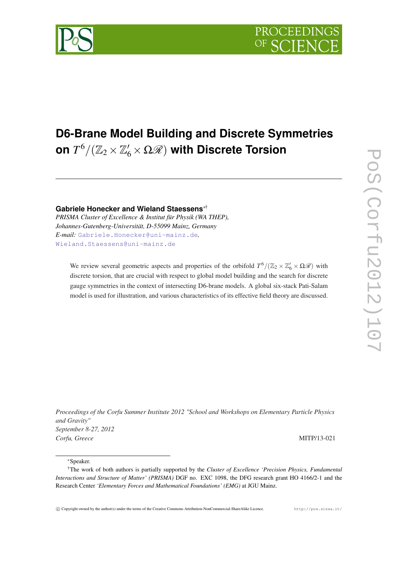# **D6-Brane Model Building and Discrete Symmetries** on  $T^6/({\mathbb Z}_2\times{\mathbb Z}_6'\times\Omega{\mathscr R})$  with Discrete Torsion

**Gabriele Honecker and Wieland Staessens**∗† *PRISMA Cluster of Excellence & Institut für Physik (WA THEP), Johannes-Gutenberg-Universität, D-55099 Mainz, Germany E-mail:* [Gabriele.Honecker@uni-mainz.de](mailto:Gabriele.Honecker@uni-mainz.de)*,* [Wieland.Staessens@uni-mainz.de](mailto:Wieland.Staessens@uni-mainz.de)

We review several geometric aspects and properties of the orbifold  $T^6/(\mathbb{Z}_2 \times \mathbb{Z}_6' \times \Omega \mathcal{R})$  with discrete torsion, that are crucial with respect to global model building and the search for discrete gauge symmetries in the context of intersecting D6-brane models. A global six-stack Pati-Salam model is used for illustration, and various characteristics of its effective field theory are discussed.

*Proceedings of the Corfu Summer Institute 2012 "School and Workshops on Elementary Particle Physics and Gravity" September 8-27, 2012 Corfu, Greece* MITP/13-021

<sup>∗</sup>Speaker.



<sup>†</sup>The work of both authors is partially supported by the *Cluster of Excellence 'Precision Physics, Fundamental Interactions and Structure of Matter' (PRISMA)* DGF no. EXC 1098, the DFG research grant HO 4166/2-1 and the Research Center *'Elementary Forces and Mathematical Foundations' (EMG)* at JGU Mainz.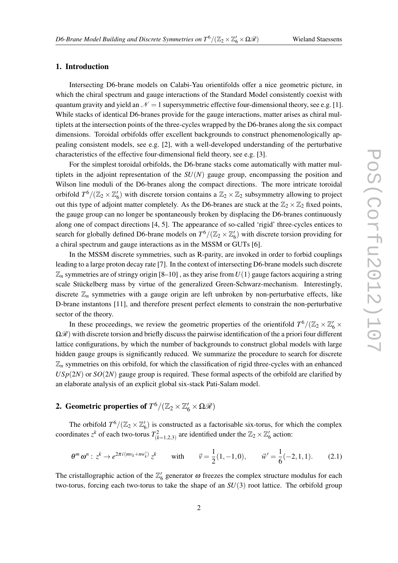#### 1. Introduction

Intersecting D6-brane models on Calabi-Yau orientifolds offer a nice geometric picture, in which the chiral spectrum and gauge interactions of the Standard Model consistently coexist with quantum gravity and yield an  $\mathcal{N} = 1$  supersymmetric effective four-dimensional theory, see e.g. [1]. While stacks of identical D6-branes provide for the gauge interactions, matter arises as chiral multiplets at the intersection points of the three-cycles wrapped by the D6-branes along the six compact dimensions. Toroidal orbifolds offer excellent backgrounds to construct phenomenologically appealing consistent models, see e.g. [2], with a well-developed understanding of the perturbative characteristics of the effective four-dimensional field theory, see e.g. [3].

For the simplest toroidal orbifolds, the D6-brane stacks come automatically with matter multiplets in the adjoint representation of the  $SU(N)$  gauge group, encompassing the position and Wilson line moduli of the D6-branes along the compact directions. The more intricate toroidal orbifold  $T^6/(\mathbb{Z}_2 \times \mathbb{Z}_6')$  with discrete torsion contains a  $\mathbb{Z}_2 \times \mathbb{Z}_2$  subsymmetry allowing to project out this type of adjoint matter completely. As the D6-branes are stuck at the  $\mathbb{Z}_2 \times \mathbb{Z}_2$  fixed points, the gauge group can no longer be spontaneously broken by displacing the D6-branes continuously along one of compact directions [4, 5]. The appearance of so-called 'rigid' three-cycles entices to search for globally defined D6-brane models on  $T^6/(\mathbb{Z}_2 \times \mathbb{Z}'_6)$  with discrete torsion providing for a chiral spectrum and gauge interactions as in the MSSM or GUTs [6].

In the MSSM discrete symmetries, such as R-parity, are invoked in order to forbid couplings leading to a large proton decay rate [7]. In the context of intersecting D6-brane models such discrete  $\mathbb{Z}_n$  symmetries are of stringy origin [8–10], as they arise from  $U(1)$  gauge factors acquiring a string scale Stückelberg mass by virtue of the generalized Green-Schwarz-mechanism. Interestingly, discrete  $\mathbb{Z}_n$  symmetries with a gauge origin are left unbroken by non-perturbative effects, like D-brane instantons [11], and therefore present perfect elements to constrain the non-perturbative sector of the theory.

In these proceedings, we review the geometric properties of the orientifold  $T^6/(\mathbb{Z}_2 \times \mathbb{Z}_6' \times$  $\Omega$ *R*) with discrete torsion and briefly discuss the pairwise identification of the a priori four different lattice configurations, by which the number of backgrounds to construct global models with large hidden gauge groups is significantly reduced. We summarize the procedure to search for discrete  $\mathbb{Z}_n$  symmetries on this orbifold, for which the classification of rigid three-cycles with an enhanced  $USp(2N)$  or  $SO(2N)$  gauge group is required. These formal aspects of the orbifold are clarified by an elaborate analysis of an explicit global six-stack Pati-Salam model.

## 2. Geometric properties of  $T^6/(\mathbb{Z}_2\times \mathbb{Z}_6'\times \Omega{\mathscr R})$

The orbifold  $T^6/(\mathbb{Z}_2 \times \mathbb{Z}_6')$  is constructed as a factorisable six-torus, for which the complex coordinates  $z^k$  of each two-torus  $T^2_{(k=1,2,3)}$  are identified under the  $\mathbb{Z}_2 \times \mathbb{Z}_6'$  action:

$$
\theta^m \omega^n : z^k \to e^{2\pi i (mv_k + nw'_k)} z^k \qquad \text{with} \qquad \vec{v} = \frac{1}{2}(1, -1, 0), \qquad \vec{w}' = \frac{1}{6}(-2, 1, 1). \tag{2.1}
$$

The cristallographic action of the  $\mathbb{Z}_6'$  generator  $\omega$  freezes the complex structure modulus for each two-torus, forcing each two-torus to take the shape of an *SU*(3) root lattice. The orbifold group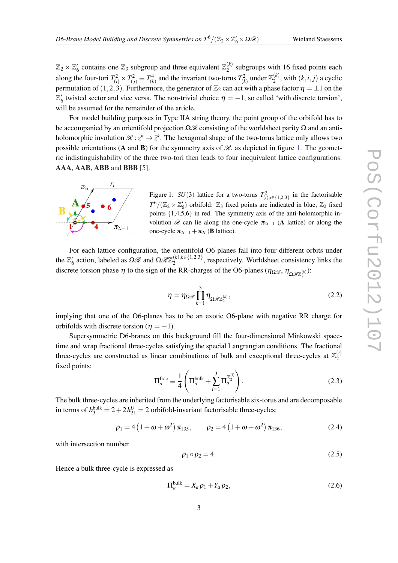<span id="page-2-0"></span> $\mathbb{Z}_2 \times \mathbb{Z}_6'$  contains one  $\mathbb{Z}_3$  subgroup and three equivalent  $\mathbb{Z}_2^{(k)}$  $2^{(k)}$  subgroups with 16 fixed points each along the four-tori  $T_{(i)}^2 \times T_{(j)}^2 \equiv T_{(k)}^4$  and the invariant two-torus  $T_{(k)}^2$  under  $\mathbb{Z}_2^{(k)}$  $a_2^{(k)}$ , with  $(k, i, j)$  a cyclic permutation of (1,2,3). Furthermore, the generator of  $\mathbb{Z}_2$  can act with a phase factor  $\eta = \pm 1$  on the  $\mathbb{Z}'_6$  twisted sector and vice versa. The non-trivial choice  $\eta = -1$ , so called 'with discrete torsion', will be assumed for the remainder of the article.

For model building purposes in Type IIA string theory, the point group of the orbifold has to be accompanied by an orientifold projection  $\Omega\mathcal{R}$  consisting of the worldsheet parity  $\Omega$  and an antiholomorphic involution  $\mathscr{R}:\zeta^k\to\bar{\zeta}^k$ . The hexagonal shape of the two-torus lattice only allows two possible orientations (A and B) for the symmetry axis of  $\mathcal{R}$ , as depicted in figure 1. The geometric indistinguishability of the three two-tori then leads to four inequivalent lattice configurations: AAA, AAB, ABB and BBB [5].



Figure 1:  $SU(3)$  lattice for a two-torus  $T^2_{(i),i \in \{1,2,3\}}$  in the factorisable  $T^6/(\mathbb{Z}_2 \times \mathbb{Z}_6')$  orbifold:  $\mathbb{Z}_3$  fixed points are indicated in blue,  $\mathbb{Z}_2$  fixed points {1,4,5,6} in red. The symmetry axis of the anti-holomorphic involution  $\mathcal R$  can lie along the one-cycle  $\pi_{2i-1}$  (A lattice) or along the one-cycle  $\pi_{2i-1} + \pi_{2i}$  (**B** lattice).

For each lattice configuration, the orientifold O6-planes fall into four different orbits under the  $\mathbb{Z}_6'$  action, labeled as  $\Omega \mathscr{R}$  and  $\Omega \mathscr{R} \mathbb{Z}_2^{(k), k \in \{1,2,3\}}$  $2^{k}$ ,  $k \in \{1,2,3\}$ , respectively. Worldsheet consistency links the discrete torsion phase  $\eta$  to the sign of the RR-charges of the O6-planes  $(\eta_{\Omega\mathcal{R}}, \eta_{\Omega\mathcal{R}\mathbb{Z}_2^{(k)}})$ :

$$
\eta = \eta_{\Omega \mathcal{R}} \prod_{k=1}^{3} \eta_{\Omega \mathcal{R} \mathbb{Z}_2^{(k)}},\tag{2.2}
$$

implying that one of the O6-planes has to be an exotic O6-plane with negative RR charge for orbifolds with discrete torsion ( $n = -1$ ).

Supersymmetric D6-branes on this background fill the four-dimensional Minkowski spacetime and wrap fractional three-cycles satisfying the special Langrangian conditions. The fractional three-cycles are constructed as linear combinations of bulk and exceptional three-cycles at  $\mathbb{Z}_2^{(i)}$  $\overline{c}$ fixed points:

$$
\Pi_a^{\text{frac}} \equiv \frac{1}{4} \left( \Pi_a^{\text{bulk}} + \sum_{i=1}^3 \Pi_a^{\mathbb{Z}_2^{(i)}} \right). \tag{2.3}
$$

The bulk three-cycles are inherited from the underlying factorisable six-torus and are decomposable in terms of  $b_3^{\text{bulk}} = 2 + 2h_{21}^U = 2$  orbifold-invariant factorisable three-cycles:

$$
\rho_1 = 4(1 + \omega + \omega^2) \pi_{135}, \qquad \rho_2 = 4(1 + \omega + \omega^2) \pi_{136}, \qquad (2.4)
$$

with intersection number

$$
\rho_1 \circ \rho_2 = 4. \tag{2.5}
$$

Hence a bulk three-cycle is expressed as

$$
\Pi_a^{\text{bulk}} = X_a \rho_1 + Y_a \rho_2,\tag{2.6}
$$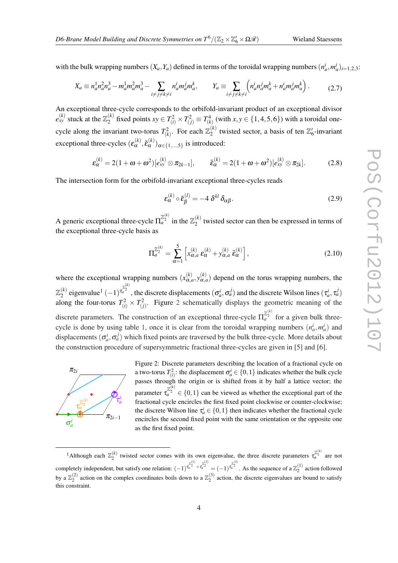<span id="page-3-0"></span>with the bulk wrapping numbers  $(X_a, Y_a)$  defined in terms of the toroidal wrapping numbers  $(n_a^i, m_a^i)_{i=1,2,3}$ :

$$
X_a \equiv n_a^1 n_a^2 n_a^3 - m_a^1 m_a^2 m_a^3 - \sum_{i \neq j \neq k \neq i} n_a^i m_a^j m_a^k, \qquad Y_a \equiv \sum_{i \neq j \neq k \neq i} \left( n_a^i n_a^j m_a^k + n_a^i m_a^j m_a^k \right). \tag{2.7}
$$

An exceptional three-cycle corresponds to the orbifold-invariant product of an exceptional divisor  $e_{xy}^{(k)}$  stuck at the  $\mathbb{Z}_2^{(k)}$  $T_2^{(k)}$  fixed points *xy* ∈  $T_{(i)}^2 \times T_{(j)}^2$  ≡  $T_{(k)}^4$  (with *x*, *y* ∈ {1,4,5,6}) with a toroidal onecycle along the invariant two-torus  $T_{(k)}^2$ . For each  $\mathbb{Z}_2^{(k)}$  $\frac{1}{2}^{(k)}$  twisted sector, a basis of ten  $\mathbb{Z}'_6$ -invariant exceptional three-cycles  $(\varepsilon_\alpha^{(k)}, \tilde{\varepsilon}_\alpha^{(k)})_{\alpha \in \{1, \dots, 5\}}$  is introduced:

$$
\varepsilon_{\alpha}^{(k)} = 2(1+\omega+\omega^2)[e_{xy}^{(k)} \otimes \pi_{2k-1}], \qquad \tilde{\varepsilon}_{\alpha}^{(k)} = 2(1+\omega+\omega^2)[e_{xy}^{(k)} \otimes \pi_{2k}]. \qquad (2.8)
$$

The intersection form for the orbifold-invariant exceptional three-cycles reads

$$
\varepsilon_{\alpha}^{(k)} \circ \tilde{\varepsilon}_{\beta}^{(l)} = -4 \delta^{kl} \delta_{\alpha\beta}.
$$
 (2.9)

A generic exceptional three-cycle  $\Pi_a^{\mathbb{Z}_2^{(k)}}$  in the  $\mathbb{Z}_2^{(k)}$  $\chi^{(k)}_2$  twisted sector can then be expressed in terms of the exceptional three-cycle basis as

$$
\Pi_{a}^{\mathbb{Z}_{2}^{(k)}} = \sum_{\alpha=1}^{5} \left[ x_{\alpha,a}^{(k)} \, \varepsilon_{\alpha}^{(k)} + y_{\alpha,a}^{(k)} \, \tilde{\varepsilon}_{\alpha}^{(k)} \right],\tag{2.10}
$$

where the exceptional wrapping numbers  $(x_{\alpha,a}^{(k)}, y_{\alpha,a}^{(k)})$  depend on the torus wrapping numbers, the  $\mathbb{Z}_2^{(k)}$  $\sigma_a^{(k)}$  eigenvalue<sup>1</sup>  $(-1)^{\frac{\mathbb{Z}_2^{(k)}}{a}}$ , the discrete displacements  $(\sigma_a^i, \sigma_a^j)$  and the discrete Wilson lines  $(\tau_a^i, \tau_a^j)$ along the four-torus  $T_{(i)}^2 \times T_{(j)}^2$ . Figure 2 schematically displays the geometric meaning of the discrete parameters. The construction of an exceptional three-cycle  $\Pi_a^{\mathbb{Z}_2^{(k)}}$  for a given bulk three-cycle is done by using table [1](#page-4-0), once it is clear from the toroidal wrapping numbers  $(n_a^i, m_a^i)$  and displacements  $(\sigma_a^i, \sigma_a^j)$  which fixed points are traversed by the bulk three-cycle. More details about the construction procedure of supersymmetric fractional three-cycles are given in [5] and [6].



Figure 2: Discrete parameters describing the location of a fractional cycle on a two-torus  $T^2(i)$ : the displacement  $\sigma^i_a \in \{0, 1\}$  indicates whether the bulk cycle passes through the origin or is shifted from it by half a lattice vector; the parameter  $\tau_a^{Z_2^{(k)}} \in \{0,1\}$  can be viewed as whether the exceptional part of the fractional cycle encircles the first fixed point clockwise or counter-clockwise; the discrete Wilson line  $\tau_a^i \in \{0, 1\}$  then indicates whether the fractional cycle encircles the second fixed point with the same orientation or the opposite one as the first fixed point.

<sup>&</sup>lt;sup>1</sup>Although each  $\mathbb{Z}_2^{(k)}$  twisted sector comes with its own eigenvalue, the three discrete parameters  $\tau_a^{\mathbb{Z}_2^{(k)}}$  are not completely independent, but satisfy one relation:  $(-1)^{\frac{z_2^{(1)}}{z_a^2} + \frac{z_2^{(2)}}{z_a}} = (-1)^{\frac{z_2^{(3)}}{z_a^2}}$ . As the sequence of a  $\mathbb{Z}_2^{(1)}$  action followed by a  $\mathbb{Z}_2^{(2)}$  action on the complex coordinates boils down to a  $\mathbb{Z}_2^{(3)}$  action, the discrete eigenvalues are bound to satisfy this constraint.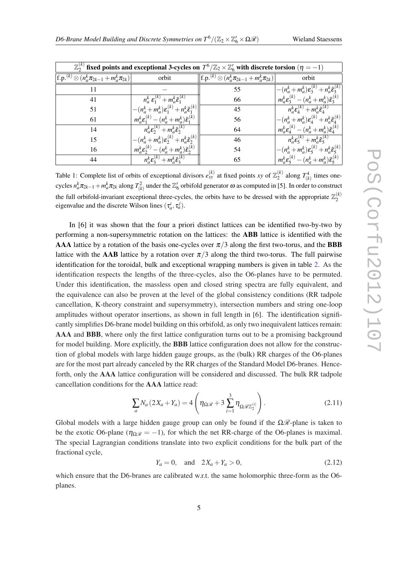| Wieland Staessens |
|-------------------|
|-------------------|

<span id="page-4-0"></span>

| $\mathbb{Z}_2^{(k)}$ fixed points and exceptional 3-cycles on $T^6/\mathbb{Z}_2 \times \mathbb{Z}_6'$ with discrete torsion $(\eta = -1)$ |                                                                                                             |                                                                      |                                                                                                                            |  |  |  |  |  |  |
|-------------------------------------------------------------------------------------------------------------------------------------------|-------------------------------------------------------------------------------------------------------------|----------------------------------------------------------------------|----------------------------------------------------------------------------------------------------------------------------|--|--|--|--|--|--|
| $ f.p.(k) \otimes (n_a^k \pi_{2k-1} + m_a^k \pi_{2k}) $                                                                                   | orbit                                                                                                       | $\  {\rm f.p.}^{(k)} \otimes (n_a^k \pi_{2k-1} + m_a^k \pi_{2k}) \ $ | orbit                                                                                                                      |  |  |  |  |  |  |
| 11                                                                                                                                        |                                                                                                             | 55                                                                   | $-({n_a^k+m_a^k})\varepsilon_3^{(k)}+{n_a^k}\tilde{\varepsilon}_3^{(k)}$                                                   |  |  |  |  |  |  |
| 41                                                                                                                                        | $n_a^k \mathcal{E}_1^{(k)} + m_a^k \tilde{\mathcal{E}}_1^{(k)}$                                             | 66                                                                   | $m_{\alpha}^{k} \mathcal{E}_{3}^{(k)} - (n_{\alpha}^{k} + m_{\alpha}^{k}) \tilde{\mathcal{E}}_{3}^{(k)}$                   |  |  |  |  |  |  |
| 51                                                                                                                                        | $-(n_a^k+m_a^k)\varepsilon_1^{(k)}+n_a^k\tilde{\varepsilon}_1^{(k)}$                                        | 45                                                                   | $\overline{n_{a}^{k} \varepsilon_{4}^{(k)}} + m_{a}^{k} \tilde{\varepsilon}_{4}^{(k)}$                                     |  |  |  |  |  |  |
| 61                                                                                                                                        | $m_a^k \varepsilon_1^{(k)} - (n_a^k + m_a^k) \tilde{\varepsilon}_1^{(k)}$                                   | 56                                                                   | $-(n_a^k+m_a^k)\varepsilon_A^{(k)}+n_a^k\tilde{\varepsilon}_A^{(k)}$                                                       |  |  |  |  |  |  |
| 14                                                                                                                                        | $n_{\alpha}^{k} \mathcal{E}_{2}^{(k)} + m_{\alpha}^{k} \tilde{\mathcal{E}}_{2}^{(k)}$                       | 64                                                                   | $m_{\alpha}^{k} \mathbf{\varepsilon}_{A}^{(k)} - (n_{\alpha}^{k} + m_{\alpha}^{k}) \tilde{\mathbf{\varepsilon}}_{A}^{(k)}$ |  |  |  |  |  |  |
| 15                                                                                                                                        | $-(n_a^k + m_a^k)\varepsilon_2^{(k)} + n_a^k \tilde{\varepsilon}_2^{(k)}$                                   | 46                                                                   | $\overline{n}_a^k \varepsilon_5^{(k)} + m_a^k \tilde{\varepsilon}_5^{(k)}$                                                 |  |  |  |  |  |  |
| 16                                                                                                                                        | $m_{a}^{k} \mathbf{\varepsilon}_{2}^{(k)} - (n_{a}^{k} + m_{a}^{k}) \tilde{\mathbf{\varepsilon}}_{2}^{(k)}$ | 54                                                                   | $\left  -(n_a^k + m_a^k) \varepsilon_\varsigma^{(k)} + n_a^k \tilde{\varepsilon}_\varsigma^{(k)} \right $                  |  |  |  |  |  |  |
| 44                                                                                                                                        | $n_a^k \varepsilon_3^{(k)} + m_a^k \tilde{\varepsilon}_2^{(k)}$                                             | 65                                                                   | $m_a^k \varepsilon_5^{(k)} - (n_a^k + m_a^k) \tilde{\varepsilon}_5^{(k)}$                                                  |  |  |  |  |  |  |

Table 1: Complete list of orbits of exceptional divisors  $e_{xy}^{(k)}$  at fixed points *xy* of  $\mathbb{Z}_2^{(k)}$  $T_{(k)}^{(k)}$  along  $T_{(k)}^4$  times onecycles  $n^k_a\pi_{2k-1}+m^k_a\pi_{2k}$  along  $T^2_{(k)}$  under the  $\Z'_6$  orbifold generator  $\omega$  as computed in [5]. In order to construct the full orbifold-invariant exceptional three-cycles, the orbits have to be dressed with the appropriate  $\mathbb{Z}_2^{(k)}$  $\overline{2}$ eigenvalue and the discrete Wilson lines  $(\tau_a^i, \tau_a^j)$ .

In [6] it was shown that the four a priori distinct lattices can be identified two-by-two by performing a non-supersymmetric rotation on the lattices: the ABB lattice is identified with the **AAA** lattice by a rotation of the basis one-cycles over  $\pi/3$  along the first two-torus, and the **BBB** lattice with the AAB lattice by a rotation over  $\pi/3$  along the third two-torus. The full pairwise identification for the toroidal, bulk and exceptional wrapping numbers is given in table [2.](#page-5-0) As the identification respects the lengths of the three-cycles, also the O6-planes have to be permuted. Under this identification, the massless open and closed string spectra are fully equivalent, and the equivalence can also be proven at the level of the global consistency conditions (RR tadpole cancellation, K-theory constraint and supersymmetry), intersection numbers and string one-loop amplitudes without operator insertions, as shown in full length in [6]. The identification significantly simplifies D6-brane model building on this orbifold, as only two inequivalent lattices remain: AAA and BBB, where only the first lattice configuration turns out to be a promising background for model building. More explicitly, the BBB lattice configuration does not allow for the construction of global models with large hidden gauge groups, as the (bulk) RR charges of the O6-planes are for the most part already canceled by the RR charges of the Standard Model D6-branes. Henceforth, only the AAA lattice configuration will be considered and discussed. The bulk RR tadpole cancellation conditions for the AAA lattice read:

$$
\sum_{a} N_a \left( 2X_a + Y_a \right) = 4 \left( \eta_{\Omega, \mathcal{R}} + 3 \sum_{i=1}^3 \eta_{\Omega, \mathcal{R}(\mathbb{Z}_2^{(i)})} \right). \tag{2.11}
$$

Global models with a large hidden gauge group can only be found if the  $\Omega \mathcal{R}$ -plane is taken to be the exotic O6-plane ( $\eta_{\Omega\Re} = -1$ ), for which the net RR-charge of the O6-planes is maximal. The special Lagrangian conditions translate into two explicit conditions for the bulk part of the fractional cycle,

$$
Y_a = 0, \text{ and } 2X_a + Y_a > 0,
$$
\n(2.12)

which ensure that the D6-branes are calibrated w.r.t. the same holomorphic three-form as the O6planes.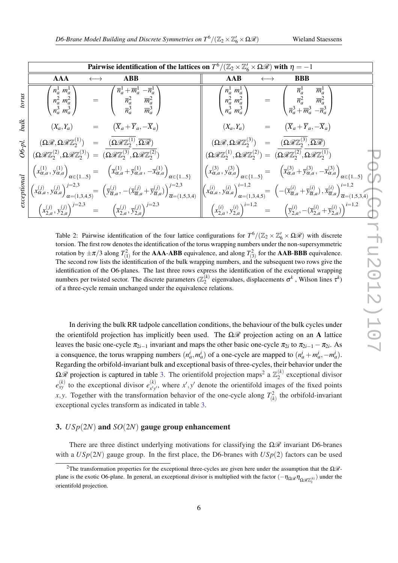<span id="page-5-0"></span>

|        | Pairwise identification of the lattices on $T^6/(\mathbb{Z}_2\times\mathbb{Z}_6'\times\Omega\mathcal{R})$ with $\eta=-1$                                                                                                                                                                                                                               |                                                                                                                                                                                                                                                                                                                                                                                                                                                                                                                                                                            |  |  |  |  |  |  |
|--------|--------------------------------------------------------------------------------------------------------------------------------------------------------------------------------------------------------------------------------------------------------------------------------------------------------------------------------------------------------|----------------------------------------------------------------------------------------------------------------------------------------------------------------------------------------------------------------------------------------------------------------------------------------------------------------------------------------------------------------------------------------------------------------------------------------------------------------------------------------------------------------------------------------------------------------------------|--|--|--|--|--|--|
|        | <b>AAA</b><br><b>ABB</b>                                                                                                                                                                                                                                                                                                                               | <b>AAB</b><br><b>BBB</b>                                                                                                                                                                                                                                                                                                                                                                                                                                                                                                                                                   |  |  |  |  |  |  |
| snion  | $\begin{pmatrix} n_a^1 \ m_a^1 \ n_a^2 \ m_a^2 \ n_a^3 \end{pmatrix} \quad = \quad \begin{pmatrix} \overline{n}_a^1 + \overline{m}_a^1 \ -\overline{n}_a^1 \ \overline{n}_a^2 \ \overline{n}_a^3 \ \overline{m}_a^3 \end{pmatrix}$                                                                                                                     | $\begin{pmatrix} n^1_a & m^1_a \ n^2_a & m^2_a \ n^3_a & m^3_a \end{pmatrix} \hspace{.7cm} = \hspace{.7cm} \begin{pmatrix} \overline{n}^1_a & \overline{m}^1_a \ \overline{n}^2_a & \overline{m}^2_a \ \overline{n}^3_a + \overline{m}^3_a & -\overline{n}^3_a \end{pmatrix}$                                                                                                                                                                                                                                                                                              |  |  |  |  |  |  |
|        | $(X_a, Y_a)$ = $(\overline{X}_a + \overline{Y}_a, -\overline{X}_a)$                                                                                                                                                                                                                                                                                    | $(X_a, Y_a)$ = $(\overline{X}_a + \overline{Y}_a, -\overline{X}_a)$                                                                                                                                                                                                                                                                                                                                                                                                                                                                                                        |  |  |  |  |  |  |
|        |                                                                                                                                                                                                                                                                                                                                                        | $(\Omega \mathscr{R}, \Omega \mathscr{R} \mathbb{Z}_2^{(3)}) \quad = \quad (\overline{\Omega \mathscr{R} \mathbb{Z}_2^{(3)}}, \overline{\Omega \mathscr{R}})$                                                                                                                                                                                                                                                                                                                                                                                                              |  |  |  |  |  |  |
| 06-pl. | $\begin{array}{rcl} (\Omega\mathscr{R},\Omega\mathscr{R}\mathbb{Z}_2^{(1)})&=&(\overline{\Omega\mathscr{R}\mathbb{Z}_2^{(1)}},\overline{\Omega\mathscr{R}})\\ (\Omega\mathscr{R}\mathbb{Z}_2^{(2)},\Omega\mathscr{R}\mathbb{Z}_2^{(3)})&=&(\overline{\Omega\mathscr{R}\mathbb{Z}_2^{(3)}},\overline{\Omega\mathscr{R}\mathbb{Z}_2^{(2)}}) \end{array}$ | $(\Omega \mathscr{R} \mathbb{Z}_{2}^{(1)}, \Omega \mathscr{R} \mathbb{Z}_{2}^{(2)}) = (\overline{\Omega \mathscr{R} \mathbb{Z}_{2}^{(2)}}, \overline{\Omega \mathscr{R} \mathbb{Z}_{2}^{(1)}})$                                                                                                                                                                                                                                                                                                                                                                            |  |  |  |  |  |  |
|        |                                                                                                                                                                                                                                                                                                                                                        | $\left\  \left( x_{\alpha,a}^{(3)}, y_{\alpha,a}^{(3)} \right) \right\ _{\alpha \in \{1\,5\}} = \left( \overline{x}_{\alpha,a}^{(3)} + \overline{y}_{\alpha,a}^{(3)}, -\overline{x}_{\alpha,a}^{(3)} \right) \right\ _{\alpha \in \{1\,5\}}$                                                                                                                                                                                                                                                                                                                               |  |  |  |  |  |  |
|        |                                                                                                                                                                                                                                                                                                                                                        | $\begin{equation} \begin{bmatrix} \overline{\mathbf{r}} \\ \overline{\mathbf{r}} \\ \overline{\mathbf{r}} \\ \overline{\mathbf{r}} \\ \overline{\mathbf{r}} \\ \overline{\mathbf{r}} \\ \overline{\mathbf{r}} \\ \overline{\mathbf{r}} \\ \overline{\mathbf{r}} \\ \overline{\mathbf{r}} \\ \overline{\mathbf{r}} \\ \overline{\mathbf{r}} \\ \overline{\mathbf{r}} \\ \overline{\mathbf{r}} \\ \overline{\mathbf{r}} \\ \overline{\mathbf{r}} \\ \overline{\mathbf{r}} \\ \overline{\mathbf{r}} \\ \overline{\mathbf{r}} \\ \overline{\mathbf{r}} \\ \overline{\mathbf{r$ |  |  |  |  |  |  |
|        |                                                                                                                                                                                                                                                                                                                                                        |                                                                                                                                                                                                                                                                                                                                                                                                                                                                                                                                                                            |  |  |  |  |  |  |

Table 2: Pairwise identification of the four lattice configurations for  $T^6/(\mathbb{Z}_2 \times \mathbb{Z}_6' \times \Omega \mathcal{R})$  with discrete torsion. The first row denotes the identification of the torus wrapping numbers under the non-supersymmetric rotation by  $\pm \pi/3$  along  $T_{(1)}^2$  for the **AAA-ABB** equivalence, and along  $T_{(3)}^2$  for the **AAB-BBB** equivalence. The second row lists the identification of the bulk wrapping numbers, and the subsequent two rows give the identification of the O6-planes. The last three rows express the identification of the exceptional wrapping numbers per twisted sector. The discrete parameters  $(\mathbb{Z}_2^{(k)})$  $\mathbf{z}_{2}^{(k)}$  eigenvalues, displacements  $\sigma^{k}$ , Wilson lines  $\tau^{k}$ ) of a three-cycle remain unchanged under the equivalence relations.

In deriving the bulk RR tadpole cancellation conditions, the behaviour of the bulk cycles under the orientifold projection has implicitly been used. The  $\Omega\mathcal{R}$  projection acting on an A lattice leaves the basic one-cycle  $\pi_{2i-1}$  invariant and maps the other basic one-cycle  $\pi_{2i}$  to  $\pi_{2i-1} - \pi_{2i}$ . As a consquence, the torus wrapping numbers  $(n_a^i, m_a^i)$  of a one-cycle are mapped to  $(n_a^i + m_a^i, -m_a^i)$ . Regarding the orbifold-invariant bulk and exceptional basis of three-cycles, their behavior under the Ω $\mathscr R$  projection is captured in table [3.](#page-6-0) The orientifold projection maps<sup>2</sup> a  $\mathbb{Z}_2^{(k)}$  $2^{(\kappa)}$  exceptional divisor  $e_{xy}^{(k)}$  to the exceptional divisor  $e_{x'y}^{(k)}$  $(x)$ , where  $x'$ ,  $y'$  denote the orientifold images of the fixed points *x*, *y*. Together with the transformation behavior of the one-cycle along  $T_{(k)}^2$  the orbifold-invariant exceptional cycles transform as indicated in table [3](#page-6-0).

#### 3. *USp*(2*N*) and *SO*(2*N*) gauge group enhancement

There are three distinct underlying motivations for classifying the  $\Omega\mathcal{R}$  invariant D6-branes with a  $USp(2N)$  gauge group. In the first place, the D6-branes with  $USp(2)$  factors can be used

<sup>&</sup>lt;sup>2</sup>The transformation properties for the exceptional three-cycles are given here under the assumption that the  $\Omega$ *R*plane is the exotic O6-plane. In general, an exceptional divisor is multiplied with the factor  $(-\eta_{\Omega\mathcal{R}}\eta_{\Omega\mathcal{R}}_{Z_2^{(k)}})$  under the orientifold projection.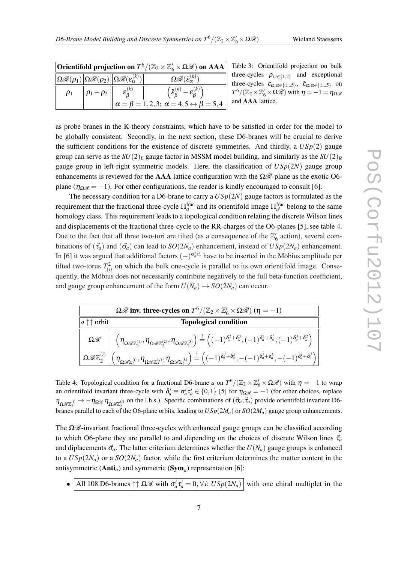<span id="page-6-0"></span>

| <b>Orientifold projection on</b> $T^6/(\mathbb{Z}_2 \times \mathbb{Z}_6' \times \Omega \mathcal{R})$ on AAA |  |                                                                                                                                       |                                                                                |  |  |  |  |  |
|-------------------------------------------------------------------------------------------------------------|--|---------------------------------------------------------------------------------------------------------------------------------------|--------------------------------------------------------------------------------|--|--|--|--|--|
|                                                                                                             |  | $\big\  \Omega \mathscr{R}(\rho_1) \big\  \Omega \mathscr{R}(\rho_2) \big\  \Omega \mathscr{R}(\varepsilon_\alpha^{(k)}) \big\  \, .$ | $\Omega \mathscr{R}(\tilde{\mathcal{E}}_\alpha^{(k)})$                         |  |  |  |  |  |
|                                                                                                             |  | $\rho_1$ $\rho_1 - \rho_2$ $\left  \begin{array}{cc} 1 & \epsilon_B^{(k)} \end{array} \right $                                        | $\left(\tilde{\epsilon}_\mathcal{B}^{(k)} - \epsilon_\mathcal{B}^{(k)}\right)$ |  |  |  |  |  |
|                                                                                                             |  |                                                                                                                                       | $\ \alpha = \beta = 1, 2, 3; \alpha = 4, 5 \leftrightarrow \beta = 5, 4$       |  |  |  |  |  |

Table 3: Orientifold projection on bulk three-cycles  $\rho_{i,i \in \{1,2\}}$  and exceptional three-cycles  $\varepsilon_{\alpha,\alpha\in\{1...5\}}$ ,  $\tilde{\varepsilon}_{\alpha,\alpha\in\{1...5\}}$  on  $T^6/(\mathbb{Z}_2 \times \mathbb{Z}_6' \times \Omega \mathscr{R})$  with  $\eta = -1 = \eta_{\Omega \mathscr{R}}$ nd **AAA** lattice.

as probe branes in the K-theory constraints, which have to be satisfied in order for the model to be globally consistent. Secondly, in the next section, these D6-branes will be crucial to derive the sufficient conditions for the existence of discrete symmetries. And thirdly, a  $USp(2)$  gauge group can serve as the  $SU(2)_L$  gauge factor in MSSM model building, and similarly as the  $SU(2)_R$ gauge group in left-right symmetric models. Here, the classification of  $USp(2N)$  gauge group enhancements is reviewed for the **AAA** lattice configuration with the  $\Omega\mathcal{R}$ -plane as the exotic O6plane ( $\eta_{\Omega\mathscr{R}} = -1$ ). For other configurations, the reader is kindly encouraged to consult [6].

The necessary condition for a D6-brane to carry a *USp*(2*N*) gauge factors is formulated as the requirement that the fractional three-cycle  $\Pi_a^{\text{frac}}$  and its orientifold image  $\Pi_{a'}^{\text{frac}}$  belong to the same homology class. This requirement leads to a topological condition relating the discrete Wilson lines and displacements of the fractional three-cycle to the RR-charges of the O6-planes [5], see table 4. Due to the fact that all three two-tori are tilted (as a consequence of the  $\mathbb{Z}_6'$  action), several combinations of  $(\vec{\tau}_a)$  and  $(\vec{\sigma}_a)$  can lead to  $SO(2N_a)$  enhancement, instead of  $USp(2N_a)$  enhancement. In [6] it was argued that additional factors  $(-)^{\sigma_d^i \tau_a^i}$  have to be inserted in the Möbius amplitude per tilted two-torus  $T_{(i)}^2$  on which the bulk one-cycle is parallel to its own orientifold image. Consequently, the Möbius does not necessarily contribute negatively to the full beta-function coefficient, and gauge group enhancement of the form  $U(N_a) \hookrightarrow SO(2N_a)$  can occur.

| $\overline{\Omega\mathcal{R}}$ inv. three-cycles on $T^6/(\mathbb{Z}_2\times\mathbb{Z}_6'\times\Omega\mathcal{R})$ $(\eta = -1)$ |                                                                                                                                                                                                                                                                                                                                                        |  |  |  |  |  |  |
|----------------------------------------------------------------------------------------------------------------------------------|--------------------------------------------------------------------------------------------------------------------------------------------------------------------------------------------------------------------------------------------------------------------------------------------------------------------------------------------------------|--|--|--|--|--|--|
| $ a\uparrow\uparrow$ orbit                                                                                                       | <b>Topological condition</b>                                                                                                                                                                                                                                                                                                                           |  |  |  |  |  |  |
|                                                                                                                                  | $\Omega \mathscr{R} \quad \bigg  \quad \left( \eta_{\Omega \mathscr{R} \mathbb{Z}_2^{(1)}}, \eta_{\Omega \mathscr{R} \mathbb{Z}_2^{(2)}}, \eta_{\Omega \mathscr{R} \mathbb{Z}_2^{(3)}} \right) \stackrel{!}{=} \left( (-1)^{\delta_a^2 + \delta_a^3}, (-1)^{\delta_a^1 + \delta_a^3}, (-1)^{\delta_a^1 + \delta_a^2} \right)$                          |  |  |  |  |  |  |
|                                                                                                                                  | $\boxed{\Omega \mathscr{R} \mathbb{Z}_2^{(i)} \left  \left( \eta_{\Omega \mathscr{R} \mathbb{Z}_2^{(i)}}, \eta_{\Omega \mathscr{R} \mathbb{Z}_2^{(j)}}, \eta_{\Omega \mathscr{R} \mathbb{Z}_2^{(k)}} \right) \stackrel{!}{=} \left( (-1)^{\delta_d^j + \delta_d^k}, -(-1)^{\delta_d^j + \delta_d^k}, -(-1)^{\delta_d^j + \delta_d^j} \right) \right }$ |  |  |  |  |  |  |

Table 4: Topological condition for a fractional D6-brane *a* on  $T^6/(\mathbb{Z}_2 \times \mathbb{Z}_6' \times \Omega \mathcal{R})$  with  $\eta = -1$  to wrap an orientifold invariant three-cycle with  $\delta_a^i \equiv \sigma_a^i \tau_a^i \in \{0,1\}$  [5] for  $\eta_{\Omega\mathcal{R}} = -1$  (for other choices, replace  $\eta_{\Omega \mathcal{R} \mathbb{Z}_2^{(i)}} \to -\eta_{\Omega \mathcal{R}} \eta_{\Omega \mathcal{R} \mathbb{Z}_2^{(i)}}$  on the l.h.s.). Specific combinations of  $(\vec{\sigma}_a; \vec{\tau}_a)$  provide orientifold invariant D6branes parallel to each of the O6-plane orbits, leading to  $USp(2M_a)$  or  $SO(2M_a)$  gauge group enhancements.

The  $\Omega\mathscr{R}$ -invariant fractional three-cycles with enhanced gauge groups can be classified according to which O6-plane they are parallel to and depending on the choices of discrete Wilson lines  $\vec{\tau}_a$ and diplacements  $\vec{\sigma}_a$ . The latter criterium determines whether the  $U(N_a)$  gauge groups is enhanced to a  $USp(2N_a)$  or a  $SO(2N_a)$  factor, while the first criterium determines the matter content in the antisymmetric (Anti*a*) and symmetric (Sym*<sup>a</sup>* ) representation [6]:

• All 108 D6-branes  $\cap \Omega \mathcal{R}$  with  $\sigma_a^i \tau_a^i = 0$ ,  $\forall i$ :  $USp(2N_a)$  with one chiral multiplet in the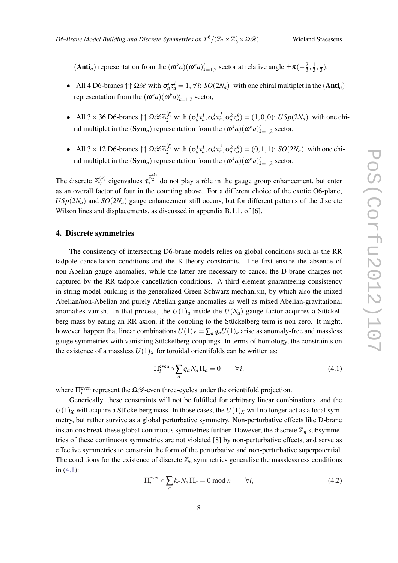<span id="page-7-0"></span>(Anti<sub>*a*</sub>) representation from the  $(\omega^k a)(\omega^k a)_{k=1,2}^{\prime}$  sector at relative angle  $\pm \pi (-\frac{2}{3})$  $\frac{2}{3}, \frac{1}{3}$  $\frac{1}{3}, \frac{1}{3}$  $(\frac{1}{3}),$ 

- All 4 D6-branes  $\uparrow \uparrow \Omega \mathcal{R}$  with  $\sigma_a^i \tau_a^i = 1, \forall i: SO(2N_a)$  with one chiral multiplet in the (Anti<sub>a</sub>) representation from the  $(\omega^k a)(\omega^k a)_{k=1,2}^{\prime}$  sector,
- All 3 × 36 D6-branes  $\uparrow \uparrow \Omega \mathcal{R} \mathbb{Z}_2^{(i)}$  with  $(\sigma_a^i \tau_a^i, \sigma_a^j \tau_a^j, \sigma_a^k \tau_a^k) = (1,0,0)$ :  $USp(2N_a)$  with one chiral multiplet in the  $(\text{Sym}_a)$  representation from the  $(\omega^k a)(\omega^k a)'_{k=1,2}$  sector,
- $\bullet$   $\left[\text{All } 3 \times 12 \text{ D6-branes } \uparrow \uparrow \Omega \mathcal{R} \mathbb{Z}_2^{(i)} \text{ with } (\sigma_a^i \tau_a^i, \sigma_a^j \tau_a^j, \sigma_a^k \tau_a^k) = (0,1,1) : SO(2N_a) \right]$  with one chiral multiplet in the  $(\text{Sym}_a)$  representation from the  $(\omega^k a)(\omega^k a)'_{k=1,2}$  sector.

The discrete  $\mathbb{Z}_2^{(k)}$  $\chi_2^{(k)}$  eigenvalues  $\tau_2^{\mathbb{Z}_2^{(k)}}$  do not play a rôle in the gauge group enhancement, but enter as an overall factor of four in the counting above. For a different choice of the exotic O6-plane,  $USp(2N_a)$  and  $SO(2N_a)$  gauge enhancement still occurs, but for different patterns of the discrete Wilson lines and displacements, as discussed in appendix B.1.1. of [6].

#### 4. Discrete symmetries

The consistency of intersecting D6-brane models relies on global conditions such as the RR tadpole cancellation conditions and the K-theory constraints. The first ensure the absence of non-Abelian gauge anomalies, while the latter are necessary to cancel the D-brane charges not captured by the RR tadpole cancellation conditions. A third element guaranteeing consistency in string model building is the generalized Green-Schwarz mechanism, by which also the mixed Abelian/non-Abelian and purely Abelian gauge anomalies as well as mixed Abelian-gravitational anomalies vanish. In that process, the  $U(1)$ <sub>*a*</sub> inside the  $U(N)$ <sub>*a*</sub> gauge factor acquires a Stückelberg mass by eating an RR-axion, if the coupling to the Stückelberg term is non-zero. It might, however, happen that linear combinations  $U(1)_X = \sum_a q_a U(1)_a$  arise as anomaly-free and massless gauge symmetries with vanishing Stückelberg-couplings. In terms of homology, the constraints on the existence of a massless  $U(1)_X$  for toroidal orientifolds can be written as:

$$
\Pi_i^{\text{even}} \circ \sum_a q_a N_a \Pi_a = 0 \qquad \forall i,
$$
\n(4.1)

where  $\Pi_i^{\text{even}}$  represent the  $\Omega\mathcal{R}$ -even three-cycles under the orientifold projection.

Generically, these constraints will not be fulfilled for arbitrary linear combinations, and the  $U(1)_X$  will acquire a Stückelberg mass. In those cases, the  $U(1)_X$  will no longer act as a local symmetry, but rather survive as a global perturbative symmetry. Non-perturbative effects like D-brane instantons break these global continuous symmetries further. However, the discrete  $\mathbb{Z}_n$  subsymmetries of these continuous symmetries are not violated [8] by non-perturbative effects, and serve as effective symmetries to constrain the form of the perturbative and non-perturbative superpotential. The conditions for the existence of discrete  $\mathbb{Z}_n$  symmetries generalise the masslessness conditions in (4.1):

$$
\Pi_i^{\text{even}} \circ \sum_a k_a N_a \Pi_a = 0 \text{ mod } n \qquad \forall i,
$$
\n(4.2)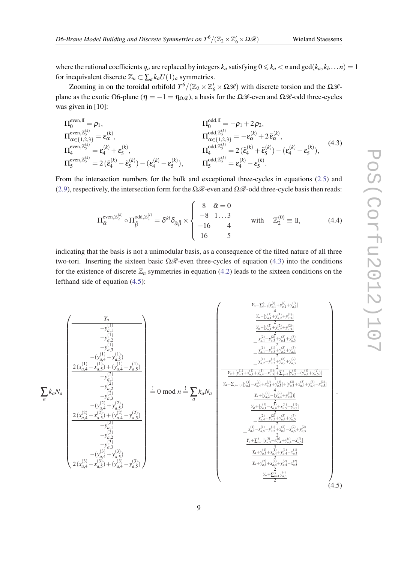<span id="page-8-0"></span>where the rational coefficients  $q_a$  are replaced by integers  $k_a$  satisfying  $0 \le k_a < n$  and  $gcd(k_a, k_b \dots n) = 1$ for inequivalent discrete  $\mathbb{Z}_n \subset \sum_a k_a U(1)_a$  symmetries.

Zooming in on the toroidal orbifold  $T^6/(\mathbb{Z}_2 \times \mathbb{Z}_6' \times \Omega \mathcal{R})$  with discrete torsion and the  $\Omega \mathcal{R}$ plane as the exotic O6-plane ( $\eta = -1 = \eta_{\Omega} \mathcal{R}$ ), a basis for the  $\Omega \mathcal{R}$ -even and  $\Omega \mathcal{R}$ -odd three-cycles was given in [10]:

$$
\Pi_0^{\text{even},\mathbb{I}} = \rho_1, \qquad \Pi_0^{\text{odd},\mathbb{I}} = -\rho_1 + 2\rho_2, \n\Pi_{\alpha \in \{1,2,3\}}^{\text{even},\mathbb{Z}_2^{(k)}} = \varepsilon_\alpha^{(k)}, \qquad \Pi_{\alpha \in \{1,2,3\}}^{\text{odd},\mathbb{Z}_2^{(k)}} = -\varepsilon_\alpha^{(k)} + 2\tilde{\varepsilon}_\alpha^{(k)}, \n\Pi_1^{\text{even},\mathbb{Z}_2^{(k)}} = \varepsilon_4^{(k)} + \varepsilon_5^{(k)}, \qquad \Pi_4^{\text{odd},\mathbb{Z}_2^{(k)}} = 2(\tilde{\varepsilon}_4^{(k)} + \tilde{\varepsilon}_5^{(k)}) - (\varepsilon_4^{(k)} - \tilde{\varepsilon}_5^{(k)}) - \varepsilon_4^{(k)} - \varepsilon_5^{(k)}, \qquad \Pi_5^{\text{odd},\mathbb{Z}_2^{(k)}} = \varepsilon_4^{(k)} - \varepsilon_5^{(k)}.
$$
\n(4.3)

From the intersection numbers for the bulk and exceptional three-cycles in equations ([2.5\)](#page-2-0) and ([2.9\)](#page-3-0), respectively, the intersection form for the  $\Omega \mathcal{R}$ -even and  $\Omega \mathcal{R}$ -odd three-cycle basis then reads:

$$
\Pi_{\tilde{\alpha}}^{\text{even},\mathbb{Z}_2^{(k)}} \circ \Pi_{\tilde{\beta}}^{\text{odd},\mathbb{Z}_2^{(l)}} = \delta^{kl} \delta_{\tilde{\alpha}\tilde{\beta}} \times \begin{cases} 8 & \tilde{\alpha} = 0 \\ -8 & 1...3 \\ -16 & 4 \end{cases} \qquad \text{with} \quad \mathbb{Z}_2^{(0)} \equiv \mathbb{I}, \tag{4.4}
$$

indicating that the basis is not a unimodular basis, as a consequence of the tilted nature of all three two-tori. Inserting the sixteen basic  $\Omega\mathscr{R}$ -even three-cycles of equation (4.3) into the conditions for the existence of discrete  $\mathbb{Z}_n$  symmetries in equation [\(4.2\)](#page-7-0) leads to the sixteen conditions on the lefthand side of equation (4.5):

$$
\sum_{a} k_{a}N_{a}
$$
\n
$$
\sum_{\substack{a \leq x \\ a \neq 0}} \binom{y_{a}}{y_{a,1}^2} = \frac{y_{a,1}^{(1)} + y_{a,2}^{(1)} + y_{a,3}^{(1)}}{y_{a,2}^2 + y_{a,3}^2} = \frac{y_{a,1}^{(1)} + y_{a,2}^{(1)} + y_{a,3}^{(1)}}{y_{a,3}^2 + y_{a,3}^2} = \frac{y_{a,1}^{(1)} + y_{a,2}^{(1)} + y_{a,3}^{(1)}}{y_{a,3}^2 + y_{a,3}^2} = \frac{y_{a,1}^{(1)} + y_{a,2}^{(1)} + y_{a,3}^{(1)}}{y_{a,3}^2 + y_{a,3}^2} = \frac{y_{a,1}^{(1)} + y_{a,2}^{(1)} + y_{a,3}^{(1)}}{y_{a,3}^2 + y_{a,3}^2} = \frac{y_{a,1}^{(1)} + y_{a,2}^{(1)} + y_{a,3}^{(1)}}{y_{a,3}^2 + y_{a,3}^2} = \frac{y_{a,1}^{(1)} + y_{a,2}^{(1)} + y_{a,3}^{(1)}}{y_{a,3}^2 + y_{a,3}^2} = \frac{y_{a,1}^{(1)} + y_{a,2}^{(1)} + y_{a,3}^{(1)}}{y_{a,3}^2 + y_{a,3}^2} = \frac{y_{a,1}^{(1)} + y_{a,2}^{(1)} + y_{a,3}^{(1)}}{y_{a,3}^2 + y_{a,3}^2 + y_{a,3}^2} = \frac{y_{a,1}^{(1)} + y_{a,2}^{(1)} + y_{a,3}^{(1)}}{y_{a,1}^2 + y_{a,3}^2 + y_{a,3}^2} = \frac{y_{a,1}^{(1)} + y_{a,2}^{(1)} + y_{a,3}^{(1)}}{y_{a,1}^2 + y_{a,3}^2} = \frac{y_{a,1}^{(1)} + y_{a,2}^{(1)} + y_{a,3}^{(1)}}{y_{a,1}^2 + y_{a,3}^2} = \frac{y_{a,1}^{(1)} + y_{a,3}^{(
$$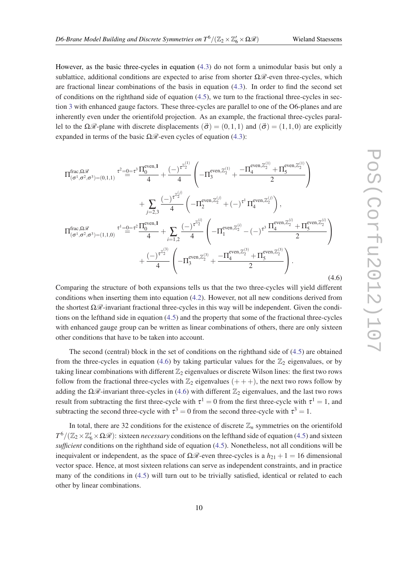However, as the basic three-cycles in equation [\(4.3\)](#page-8-0) do not form a unimodular basis but only a sublattice, additional conditions are expected to arise from shorter  $\Omega \mathcal{R}$ -even three-cycles, which are fractional linear combinations of the basis in equation ([4.3](#page-8-0)). In order to find the second set of conditions on the righthand side of equation  $(4.5)$  $(4.5)$  $(4.5)$ , we turn to the fractional three-cycles in section [3](#page-5-0) with enhanced gauge factors. These three-cycles are parallel to one of the O6-planes and are inherently even under the orientifold projection. As an example, the fractional three-cycles parallel to the  $\Omega\mathscr{R}$ -plane with discrete displacements  $(\vec{\sigma}) = (0,1,1)$  and  $(\vec{\sigma}) = (1,1,0)$  are explicitly expanded in terms of the basic  $\Omega\mathcal{R}$ -even cycles of equation [\(4.3\)](#page-8-0):

$$
\Pi_{(\sigma^{1}, \sigma^{2}, \sigma^{3})=(0,1,1)}^{\text{frac}, \Omega_{\sigma^{2}}^{\mathscr{L}}} = \tau^{3} \frac{\Pi_{0}^{\text{even}, 1}}{4} + \frac{(-)^{\tau^{Z_{2}^{(1)}}}}{4} \left( -\Pi_{3}^{\text{even}, \mathbb{Z}_{2}^{(1)}} + \frac{-\Pi_{4}^{\text{even}, \mathbb{Z}_{2}^{(1)}} + \Pi_{5}^{\text{even}, \mathbb{Z}_{2}^{(1)}}}{2} \right) + \sum_{j=2,3} \frac{(-)^{\tau^{Z_{2}^{(j)}}}}{4} \left( -\Pi_{2}^{\text{even}, \mathbb{Z}_{2}^{(j)}} + (-)^{\tau^{1}} \Pi_{4}^{\text{even}, \mathbb{Z}_{2}^{(j)}} \right),
$$
\n
$$
\Pi_{(\sigma^{1}, \sigma^{2}, \sigma^{3})=(1,1,0)}^{\text{frac}, \mathbb{Z}_{2}} = \tau^{2} \frac{\Pi_{0}^{\text{even}, 1}}{4} + \sum_{i=1,2} \frac{(-)^{\tau^{Z_{2}^{(i)}}}}{4} \left( -\Pi_{1}^{\text{even}, \mathbb{Z}_{2}^{(i)}} - (-)^{\tau^{3}} \frac{\Pi_{4}^{\text{even}, \mathbb{Z}_{2}^{(i)}} + \Pi_{5}^{\text{even}, \mathbb{Z}_{2}^{(i)}}}{2} \right) + \frac{(-)^{\tau^{Z_{2}^{(3)}}}}{4} \left( -\Pi_{3}^{\text{even}, \mathbb{Z}_{2}^{(3)}} + \frac{-\Pi_{4}^{\text{even}, \mathbb{Z}_{2}^{(3)}} + \Pi_{5}^{\text{even}, \mathbb{Z}_{2}^{(3)}}}{2} \right). \tag{4.6}
$$

Comparing the structure of both expansions tells us that the two three-cycles will yield different conditions when inserting them into equation ([4.2](#page-7-0)). However, not all new conditions derived from the shortest  $\Omega\mathscr{R}$ -invariant fractional three-cycles in this way will be independent. Given the conditions on the lefthand side in equation ([4.5](#page-8-0)) and the property that some of the fractional three-cycles with enhanced gauge group can be written as linear combinations of others, there are only sixteen other conditions that have to be taken into account.

The second (central) block in the set of conditions on the righthand side of  $(4.5)$  $(4.5)$  are obtained from the three-cycles in equation (4.6) by taking particular values for the  $\mathbb{Z}_2$  eigenvalues, or by taking linear combinations with different  $\mathbb{Z}_2$  eigenvalues or discrete Wilson lines: the first two rows follow from the fractional three-cycles with  $\mathbb{Z}_2$  eigenvalues  $(++)$ , the next two rows follow by adding the  $\Omega\mathcal{R}$ -invariant three-cycles in (4.6) with different  $\mathbb{Z}_2$  eigenvalues, and the last two rows result from subtracting the first three-cycle with  $\tau^1 = 0$  from the first three-cycle with  $\tau^1 = 1$ , and subtracting the second three-cycle with  $\tau^3 = 0$  from the second three-cycle with  $\tau^3 = 1$ .

In total, there are 32 conditions for the existence of discrete  $\mathbb{Z}_n$  symmetries on the orientifold  $T^6/(\mathbb{Z}_2\times\mathbb{Z}_6'\times\Omega\mathscr{R})$ : sixteen *necessary* conditions on the lefthand side of equation ([4.5](#page-8-0)) and sixteen *sufficient* conditions on the righthand side of equation [\(4.5\)](#page-8-0). Nonetheless, not all conditions will be inequivalent or independent, as the space of  $\Omega \mathcal{R}$ -even three-cycles is a  $h_{21} + 1 = 16$  dimensional vector space. Hence, at most sixteen relations can serve as independent constraints, and in practice many of the conditions in ([4.5](#page-8-0)) will turn out to be trivially satisfied, identical or related to each other by linear combinations.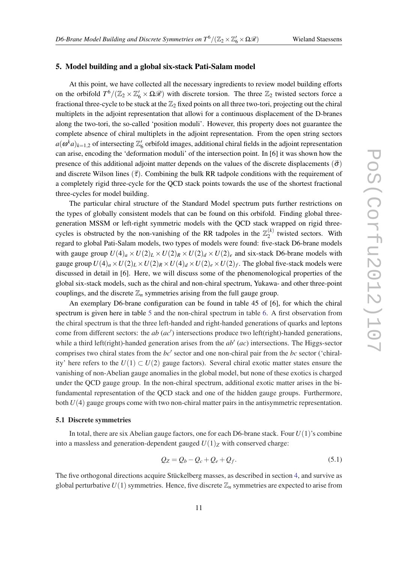#### 5. Model building and a global six-stack Pati-Salam model

At this point, we have collected all the necessary ingredients to review model building efforts on the orbifold  $T^6/(\mathbb{Z}_2 \times \mathbb{Z}_6' \times \Omega \mathcal{R})$  with discrete torsion. The three  $\mathbb{Z}_2$  twisted sectors force a fractional three-cycle to be stuck at the  $\mathbb{Z}_2$  fixed points on all three two-tori, projecting out the chiral multiplets in the adjoint representation that allowi for a continuous displacement of the D-branes along the two-tori, the so-called 'position moduli'. However, this property does not guarantee the complete absence of chiral multiplets in the adjoint representation. From the open string sectors  $a(\omega^k a)_{k=1,2}$  of intersecting  $\mathbb{Z}_6'$  orbifold images, additional chiral fields in the adjoint representation can arise, encoding the 'deformation moduli' of the intersection point. In [6] it was shown how the presence of this additional adjoint matter depends on the values of the discrete displacements ( $\vec{\sigma}$ ) and discrete Wilson lines ( $\vec{\tau}$ ). Combining the bulk RR tadpole conditions with the requirement of a completely rigid three-cycle for the QCD stack points towards the use of the shortest fractional three-cycles for model building.

The particular chiral structure of the Standard Model spectrum puts further restrictions on the types of globally consistent models that can be found on this orbifold. Finding global threegeneration MSSM or left-right symmetric models with the QCD stack wrapped on rigid threecycles is obstructed by the non-vanishing of the RR tadpoles in the  $\mathbb{Z}_2^{(k)}$  $2^{k}$  twisted sectors. With regard to global Pati-Salam models, two types of models were found: five-stack D6-brane models with gauge group  $U(4)_a \times U(2)_L \times U(2)_R \times U(2)_d \times U(2)_e$  and six-stack D6-brane models with gauge group  $U(4)_a\times U(2)_L\times U(2)_R\times U(4)_d\times U(2)_e\times U(2)_f.$  The global five-stack models were discussed in detail in [6]. Here, we will discuss some of the phenomenological properties of the global six-stack models, such as the chiral and non-chiral spectrum, Yukawa- and other three-point couplings, and the discrete  $\mathbb{Z}_n$  symmetries arising from the full gauge group.

An exemplary D6-brane configuration can be found in table 45 of [6], for which the chiral spectrum is given here in table [5](#page-11-0) and the non-chiral spectrum in table [6](#page-12-0). A first observation from the chiral spectrum is that the three left-handed and right-handed generations of quarks and leptons come from different sectors: the  $ab$   $(ac')$  intersections produce two left(right)-handed generations, while a third left(right)-handed generation arises from the  $ab'$  ( $ac$ ) intersections. The Higgs-sector comprises two chiral states from the  $bc'$  sector and one non-chiral pair from the  $bc$  sector ('chirality' here refers to the  $U(1) \subset U(2)$  gauge factors). Several chiral exotic matter states ensure the vanishing of non-Abelian gauge anomalies in the global model, but none of these exotics is charged under the QCD gauge group. In the non-chiral spectrum, additional exotic matter arises in the bifundamental representation of the QCD stack and one of the hidden gauge groups. Furthermore, both *U*(4) gauge groups come with two non-chiral matter pairs in the antisymmetric representation.

#### 5.1 Discrete symmetries

In total, there are six Abelian gauge factors, one for each D6-brane stack. Four *U*(1)'s combine into a massless and generation-dependent gauged  $U(1)_Z$  with conserved charge:

$$
Q_Z = Q_b - Q_c + Q_e + Q_f. \tag{5.1}
$$

The five orthogonal directions acquire Stückelberg masses, as described in section [4,](#page-7-0) and survive as global perturbative  $U(1)$  symmetries. Hence, five discrete  $\mathbb{Z}_n$  symmetries are expected to arise from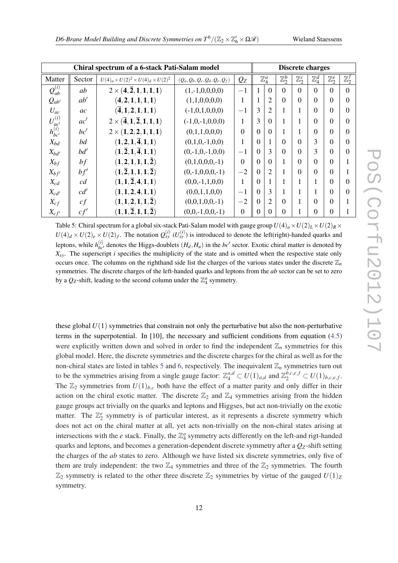<span id="page-11-0"></span>

| Chiral spectrum of a 6-stack Pati-Salam model |        |                                                                                             |                                  |                | <b>Discrete charges</b> |                  |                  |                  |                  |                  |                  |  |
|-----------------------------------------------|--------|---------------------------------------------------------------------------------------------|----------------------------------|----------------|-------------------------|------------------|------------------|------------------|------------------|------------------|------------------|--|
| Matter                                        | Sector | $U(4)_a \times U(2)^2 \times U(4)_d \times U(2)^2$                                          | $(Q_a, Q_b, Q_c, Q_d, Q_e, Q_f)$ | $Q_{Z}$        |                         | $\mathbb{Z}_4^a$ | $\mathbb{Z}_2^b$ | $\mathbb{Z}_2^c$ | $\mathbb{Z}_4^d$ | $\mathbb{Z}_2^e$ | $\mathbb{Z}_2^f$ |  |
| $\overline{Q_{ab}^{(i)}}$                     | ab     | $2 \times (4,\overline{2},1,1,1,1)$                                                         | $(1,-1,0,0,0,0)$                 | $-1$           |                         | $\Omega$         | $\Omega$         | $\Omega$         | $\Omega$         | $\Omega$         | $\Omega$         |  |
| $Q_{ab'}$                                     | ab'    | (4, 2, 1, 1, 1, 1)                                                                          | (1,1,0,0,0,0)                    | 1              |                         | $\overline{2}$   | $\Omega$         | $\Omega$         | $\Omega$         | $\Omega$         | $\Omega$         |  |
| $U_{ac}$                                      | ac     | $({\bf \overline{4}},{\bf 1},{\bf 2},{\bf 1},{\bf 1},{\bf 1})$                              | $(-1,0,1,0,0,0)$                 | $-1$           | 3                       | $\overline{2}$   |                  |                  | 0                | $\Omega$         | $\overline{0}$   |  |
| $U_{ac^\prime}^{(i)}\\ h_{bc^\prime}^{(i)}$   | ac'    | $2 \times (\overline{4},1,\overline{2},1,1,1)$                                              | $(-1,0,-1,0,0,0)$                | 1              | 3                       | $\Omega$         |                  |                  | 0                | $\Omega$         | $\Omega$         |  |
|                                               | bc'    | $2 \times (1,2,2,1,1,1)$                                                                    | (0,1,1,0,0,0)                    | $\Omega$       | $\Omega$                | $\Omega$         |                  |                  | 0                | $\Omega$         | $\Omega$         |  |
| $X_{bd}$                                      | bd     | $(1,2,1,\overline{4},1,1)$                                                                  | $(0,1,0,-1,0,0)$                 | 1              | 0                       |                  | $\Omega$         | $\Omega$         | 3                | $\Omega$         | $\Omega$         |  |
| $X_{bd'}$                                     | bd'    | $(1,\overline{2},1,\overline{4},1,1)$                                                       | $(0,-1,0,-1,0,0)$                | $-1$           | $\Omega$                | 3                | $\Omega$         | $\Omega$         | 3                | $\Omega$         | $\Omega$         |  |
| $X_{bf}$                                      | bf f   | (1, 2, 1, 1, 1, 2)                                                                          | $(0,1,0,0,0,-1)$                 | $\theta$       | $\Omega$                | $\Omega$         |                  | $\Omega$         | 0                | $\Omega$         |                  |  |
| $X_{bf'}$                                     | bf'    | $(\mathbf{1},\overline{\mathbf{2}},\mathbf{1},\mathbf{1},\mathbf{1},\overline{\mathbf{2}})$ | $(0,-1,0,0,0,-1)$                | $-2$           | $\Omega$                | $\overline{2}$   |                  | $\Omega$         | 0                | $\Omega$         |                  |  |
| $X_{cd}$                                      | cd     | $(1,1,\overline{2},4,1,1)$                                                                  | $(0,0,-1,1,0,0)$                 | 1              | $\Omega$                |                  |                  |                  |                  | $\Omega$         | $\Omega$         |  |
| $X_{cd'}$                                     | cd'    | (1,1,2,4,1,1)                                                                               | (0,0,1,1,0,0)                    | $^{-1}$        | $\Omega$                | 3                |                  |                  |                  | $\Omega$         | $\Omega$         |  |
| $X_{cf}$                                      | cf     | $(1,1,2,1,1,\overline{2})$                                                                  | $(0,0,1,0,0,-1)$                 | $-2$           | $\Omega$                | $\overline{2}$   | $\Omega$         |                  | 0                | $\Omega$         |                  |  |
| $X_{cf'}$                                     | cf'    | $(\mathbf{1},\mathbf{1},\overline{\mathbf{2}},\mathbf{1},\mathbf{1},\overline{\mathbf{2}})$ | $(0,0,-1,0,0,-1)$                | $\overline{0}$ | 0                       | $\Omega$         | 0                |                  | 0                | $\Omega$         |                  |  |

Table 5: Chiral spectrum for a global six-stack Pati-Salam model with gauge group  $U(4)_a \times U(2)_L \times U(2)_R \times$  $U(4)_d \times U(2)_e \times U(2)_f$ . The notation  $Q_{xy}^{(i)}(U_{xy}^{(i)})$  is introduced to denote the left(right)-handed quarks and leptons, while  $h_{bc'}^{(i)}$  denotes the Higgs-doublets  $(H_d, H_u)$  in the  $bc'$  sector. Exotic chiral matter is denoted by *Xxy*. The superscript *i* specifies the multiplicity of the state and is omitted when the respective state only occurs once. The columns on the righthand side list the charges of the various states under the discrete  $\mathbb{Z}_n$ symmetries. The discrete charges of the left-handed quarks and leptons from the *ab* sector can be set to zero by a  $Q_Z$ -shift, leading to the second column under the  $\mathbb{Z}_4^a$  symmetry.

these global *U*(1) symmetries that constrain not only the perturbative but also the non-perturbative terms in the superpotential. In [10], the necessary and sufficient conditions from equation ([4.5](#page-8-0)) were explicitly written down and solved in order to find the independent  $\mathbb{Z}_n$  symmetries for this global model. Here, the discrete symmetries and the discrete charges for the chiral as well as for the non-chiral states are listed in tables 5 and [6](#page-12-0), respectively. The inequivalent  $\mathbb{Z}_n$  symmetries turn out to be the symmetries arising from a single gauge factor:  $\mathbb{Z}_4^{a,d} \subset U(1)_{a,d}$  and  $\mathbb{Z}_2^{b,c,e,f} \subset U(1)_{b,c,e,f}$ . The  $\mathbb{Z}_2$  symmetries from  $U(1)_{b,c}$  both have the effect of a matter parity and only differ in their action on the chiral exotic matter. The discrete  $\mathbb{Z}_2$  and  $\mathbb{Z}_4$  symmetries arising from the hidden gauge groups act trivially on the quarks and leptons and Higgses, but act non-trivially on the exotic matter. The  $\mathbb{Z}_2^e$  symmetry is of particular interest, as it represents a discrete symmetry which does not act on the chiral matter at all, yet acts non-trivially on the non-chiral states arising at intersections with the *e* stack. Finally, the  $\mathbb{Z}_4^a$  symmetry acts differently on the left-and rigt-handed quarks and leptons, and becomes a generation-dependent discrete symmetry after a *QZ*-shift setting the charges of the *ab* states to zero. Although we have listed six discrete symmetries, only five of them are truly independent: the two  $\mathbb{Z}_4$  symmetries and three of the  $\mathbb{Z}_2$  symmetries. The fourth  $\mathbb{Z}_2$  symmetry is related to the other three discrete  $\mathbb{Z}_2$  symmetries by virtue of the gauged  $U(1)_Z$ symmetry.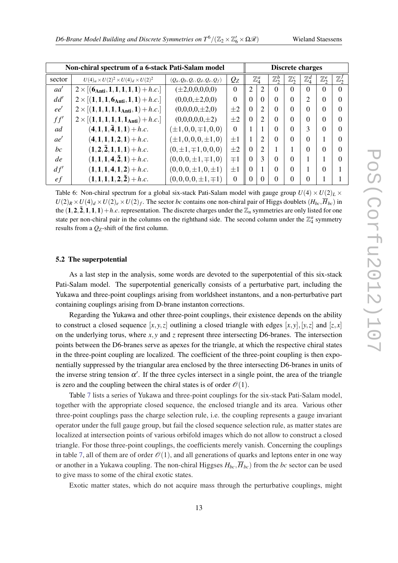<span id="page-12-0"></span>

| Non-chiral spectrum of a 6-stack Pati-Salam model |                                                      |                                  |          | <b>Discrete charges</b> |                  |                  |                  |                  |                  |                  |  |
|---------------------------------------------------|------------------------------------------------------|----------------------------------|----------|-------------------------|------------------|------------------|------------------|------------------|------------------|------------------|--|
| sector                                            | $U(4)_a \times U(2)^2 \times U(4)_d \times U(2)^2$   | $(Q_a, Q_b, Q_c, Q_d, Q_e, Q_f)$ | $Q_{Z}$  |                         | $\mathbb{Z}_4^a$ | $\mathbb{Z}_2^b$ | $\mathbb{Z}_2^c$ | $\mathbb{Z}_4^d$ | $\mathbb{Z}_2^e$ | $\mathbb{Z}_2^J$ |  |
| aa'                                               | $2 \times [(6_{\text{Anti}},1,1,1,1,1)+h.c.]$        | $(\pm 2,0,0,0,0,0)$              | $\Omega$ | 2                       | 2                | $\Omega$         | $\Omega$         | $\Omega$         | $\Omega$         | $\Omega$         |  |
| dd'                                               | $2 \times [(1, 1, 1, 6_{\text{Anti}}, 1, 1) + h.c.]$ | $(0,0,0,\pm 2,0,0)$              | $\Omega$ | $\Omega$                | $\Omega$         | $\Omega$         | $\Omega$         | 2                | $\Omega$         | $\Omega$         |  |
| ee'                                               | $2 \times [(1,1,1,1,1_{\text{Anti}},1)+h.c.]$        | $(0,0,0,0,\pm 2,0)$              | $\pm 2$  | $\Omega$                | $\overline{2}$   | 0                |                  | $\Omega$         | $\Omega$         | $\Omega$         |  |
| ff'                                               | $2 \times [(1, 1, 1, 1, 1, 1_{\text{Anti}}) + h.c.]$ | $(0,0,0,0,0,\pm 2)$              | $\pm 2$  | $\Omega$                | $\overline{2}$   | 0                |                  |                  | $\Omega$         | 0                |  |
| ad                                                | $(4,1,1,\bar{4},1,1)+h.c.$                           | $(\pm 1, 0, 0, \mp 1, 0, 0)$     | $\Omega$ |                         |                  | 0                |                  | 3                | $\Omega$         | 0                |  |
| ae'                                               | $(4,1,1,1,2,1)+h.c.$                                 | $(\pm 1, 0, 0, 0, \pm 1, 0)$     | $\pm 1$  |                         | $\overline{2}$   | 0                |                  | $\Omega$         |                  | $\Omega$         |  |
| bc                                                | $(1,2,\bar{2},1,1,1)+h.c.$                           | $(0,\pm 1,\mp 1,0,0,0)$          | $\pm 2$  | $\Omega$                | $\overline{2}$   |                  |                  | $\Omega$         | $\Omega$         | 0                |  |
| de                                                | $(1,1,1,4,\bar{2},1)+h.c.$                           | $(0,0,0,\pm 1,\mp 1,0)$          | $\mp 1$  | $\Omega$                | 3                | $\Omega$         |                  |                  |                  | $\Omega$         |  |
| df'                                               | $(1,1,1,4,1,2)+h.c.$                                 | $(0,0,0,\pm 1,0,\pm 1)$          | $\pm 1$  | $\Omega$                |                  | 0                |                  |                  | $\Omega$         |                  |  |
| ef                                                | $(1,1,1,1,2,\bar{2})+h.c.$                           | $(0,0,0,0,\pm 1,\mp 1)$          | $\Omega$ | $\Omega$                | 0                |                  |                  |                  |                  |                  |  |

Table 6: Non-chiral spectrum for a global six-stack Pati-Salam model with gauge group  $U(4) \times U(2)_L \times$  $U(2)_R \times U(4)_d \times U(2)_e \times U(2)_f$ . The sector *bc* contains one non-chiral pair of Higgs doublets  $(H_{bc}, \overline{H}_{bc})$  in the  $(1,2,\overline{2},1,1,1)+h.c.$  representation. The discrete charges under the  $\mathbb{Z}_n$  symmetries are only listed for one state per non-chiral pair in the columns on the righthand side. The second column under the  $\mathbb{Z}_4^a$  symmetry results from a *QZ*-shift of the first column.

#### 5.2 The superpotential

As a last step in the analysis, some words are devoted to the superpotential of this six-stack Pati-Salam model. The superpotential generically consists of a perturbative part, including the Yukawa and three-point couplings arising from worldsheet instantons, and a non-perturbative part containing couplings arising from D-brane instanton corrections.

Regarding the Yukawa and other three-point couplings, their existence depends on the ability to construct a closed sequence  $[x, y, z]$  outlining a closed triangle with edges  $[x, y]$ ,  $[y, z]$  and  $[z, x]$ on the underlying torus, where  $x, y$  and  $z$  represent three intersecting D6-branes. The intersection points between the D6-branes serve as apexes for the triangle, at which the respective chiral states in the three-point coupling are localized. The coefficient of the three-point coupling is then exponentially suppressed by the triangular area enclosed by the three intersecting D6-branes in units of the inverse string tension  $\alpha'$ . If the three cycles intersect in a single point, the area of the triangle is zero and the coupling between the chiral states is of order  $\mathcal{O}(1)$ .

Table [7](#page-13-0) lists a series of Yukawa and three-point couplings for the six-stack Pati-Salam model, together with the appropriate closed sequence, the enclosed triangle and its area. Various other three-point couplings pass the charge selection rule, i.e. the coupling represents a gauge invariant operator under the full gauge group, but fail the closed sequence selection rule, as matter states are localized at intersection points of various orbifold images which do not allow to construct a closed triangle. For those three-point couplings, the coefficients merely vanish. Concerning the couplings in table [7,](#page-13-0) all of them are of order  $\mathcal{O}(1)$ , and all generations of quarks and leptons enter in one way or another in a Yukawa coupling. The non-chiral Higgses  $H_{bc}$ ,  $\overline{H}_{bc}$  from the *bc* sector can be used to give mass to some of the chiral exotic states.

Exotic matter states, which do not acquire mass through the perturbative couplings, might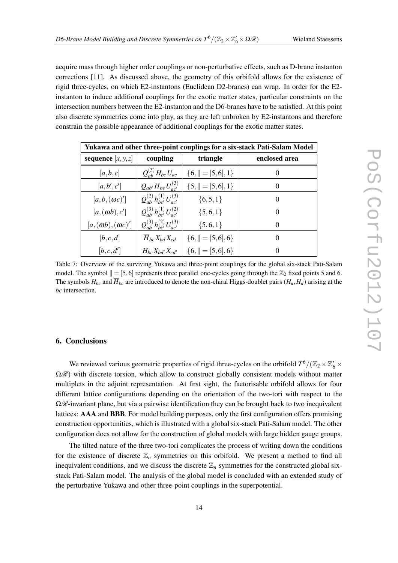<span id="page-13-0"></span>acquire mass through higher order couplings or non-perturbative effects, such as D-brane instanton corrections [11]. As discussed above, the geometry of this orbifold allows for the existence of rigid three-cycles, on which E2-instantons (Euclidean D2-branes) can wrap. In order for the E2 instanton to induce additional couplings for the exotic matter states, particular constraints on the intersection numbers between the E2-instanton and the D6-branes have to be satisfied. At this point also discrete symmetries come into play, as they are left unbroken by E2-instantons and therefore constrain the possible appearance of additional couplings for the exotic matter states.

| Yukawa and other three-point couplings for a six-stack Pati-Salam Model |                                          |                       |               |  |  |  |  |
|-------------------------------------------------------------------------|------------------------------------------|-----------------------|---------------|--|--|--|--|
| sequence $[x, y, z]$                                                    | coupling                                 | triangle              | enclosed area |  |  |  |  |
| [a,b,c]                                                                 | $Q_{ab}^{(3)}H_{bc}U_{ac}$               | ${6, \  = [5, 6], 1}$ | $\theta$      |  |  |  |  |
| [a,b',c']                                                               | $Q_{ab'}\overline{H}_{bc}U^{(3)}_{ac'}$  | ${5,    = [5, 6], 1}$ | $\theta$      |  |  |  |  |
| $[a, b, (\omega c)']$                                                   | $Q_{ab}^{(2)}h_{bc'}^{(1)}U_{ac'}^{(3)}$ | $\{6, 5, 1\}$         | $\theta$      |  |  |  |  |
| $[a,(\omega b),c']$                                                     | $Q_{ab}^{(3)}h_{bc}^{(1)}U_{ac'}^{(2)}$  | $\{5,6,1\}$           | $\theta$      |  |  |  |  |
| $[a,(\omega b),(\omega c)^{\prime}]$                                    | $Q_{ab}^{(3)}h_{bc}^{(2)}U_{ac}^{(3)}$   | $\{5,6,1\}$           | $\theta$      |  |  |  |  |
| [b,c,d]                                                                 | $H_{bc}X_{bd}X_{cd}$                     | ${6,    = [5, 6], 6}$ | $\theta$      |  |  |  |  |
| [b, c, d']                                                              | $H_{bc}X_{bd'}X_{cd'}$                   | ${6,    = [5, 6], 6}$ | $\theta$      |  |  |  |  |

Table 7: Overview of the surviving Yukawa and three-point couplings for the global six-stack Pati-Salam model. The symbol  $|| = [5,6]$  represents three parallel one-cycles going through the  $\mathbb{Z}_2$  fixed points 5 and 6. The symbols  $H_{bc}$  and  $\overline{H}_{bc}$  are introduced to denote the non-chiral Higgs-doublet pairs  $(H_u, H_d)$  arising at the *bc* intersection.

#### 6. Conclusions

We reviewed various geometric properties of rigid three-cycles on the orbifold  $T^6/(\mathbb{Z}_2\times\mathbb{Z}_6'\times\mathbb{Z}_6')$  $\Omega$ *R*) with discrete torsion, which allow to construct globally consistent models without matter multiplets in the adjoint representation. At first sight, the factorisable orbifold allows for four different lattice configurations depending on the orientation of the two-tori with respect to the  $\Omega\mathscr{R}$ -invariant plane, but via a pairwise identification they can be brought back to two inequivalent lattices: AAA and BBB. For model building purposes, only the first configuration offers promising construction opportunities, which is illustrated with a global six-stack Pati-Salam model. The other configuration does not allow for the construction of global models with large hidden gauge groups.

The tilted nature of the three two-tori complicates the process of writing down the conditions for the existence of discrete  $\mathbb{Z}_n$  symmetries on this orbifold. We present a method to find all inequivalent conditions, and we discuss the discrete  $\mathbb{Z}_n$  symmetries for the constructed global sixstack Pati-Salam model. The analysis of the global model is concluded with an extended study of the perturbative Yukawa and other three-point couplings in the superpotential.